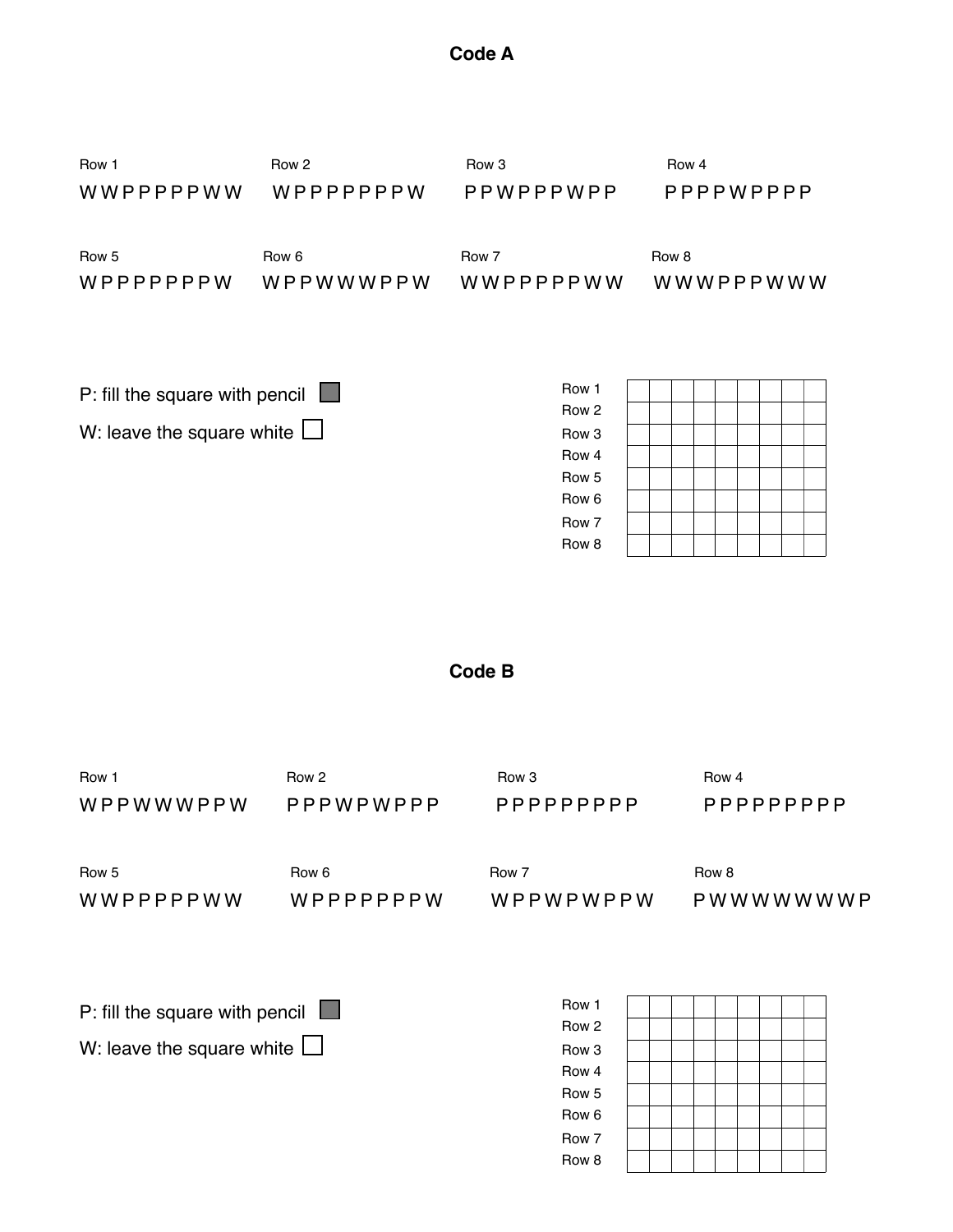| Row 5<br>WWPPPPPWW                                                        | Row 6<br>WPPPPPPPW | Row 7<br>WPPWPWPPW                                                                         | Row 8 | PWWWWWWWP |
|---------------------------------------------------------------------------|--------------------|--------------------------------------------------------------------------------------------|-------|-----------|
| P: fill the square with pencil $\Box$<br>W: leave the square white $\Box$ |                    | Row 1<br>Row 2<br>Row 3<br>Row <sub>4</sub><br>Row 5<br>Row <sub>6</sub><br>Row 7<br>Row 8 |       |           |

## **Code B**

WPPWWWPPW PPPWPWPPP PPPPPPPPP PPPPPPPPP

Row 1! ! ! Row 2! ! Row 3! ! ! Row 4

| P: fill the square with pencil $\Box$ | Row 1            |  |  |  |  |
|---------------------------------------|------------------|--|--|--|--|
|                                       | Row 2            |  |  |  |  |
| W: leave the square white $\Box$      | Row <sub>3</sub> |  |  |  |  |
|                                       | Row 4            |  |  |  |  |
|                                       | Row 5            |  |  |  |  |
|                                       | Row 6            |  |  |  |  |
|                                       | Row 7            |  |  |  |  |
|                                       | Row 8            |  |  |  |  |

| Row 1     | Row 2     | Row 3     | Row 4     |
|-----------|-----------|-----------|-----------|
| WWPPPPPWW | WPPPPPPPW | PPWPPPWPP | PPPPWPPPP |
| Row 5     | Row 6     | Row 7     | Row 8     |
| WPPPPPPPW | WPPWWWPPW | WWPPPPPWW | WWWPPPWWW |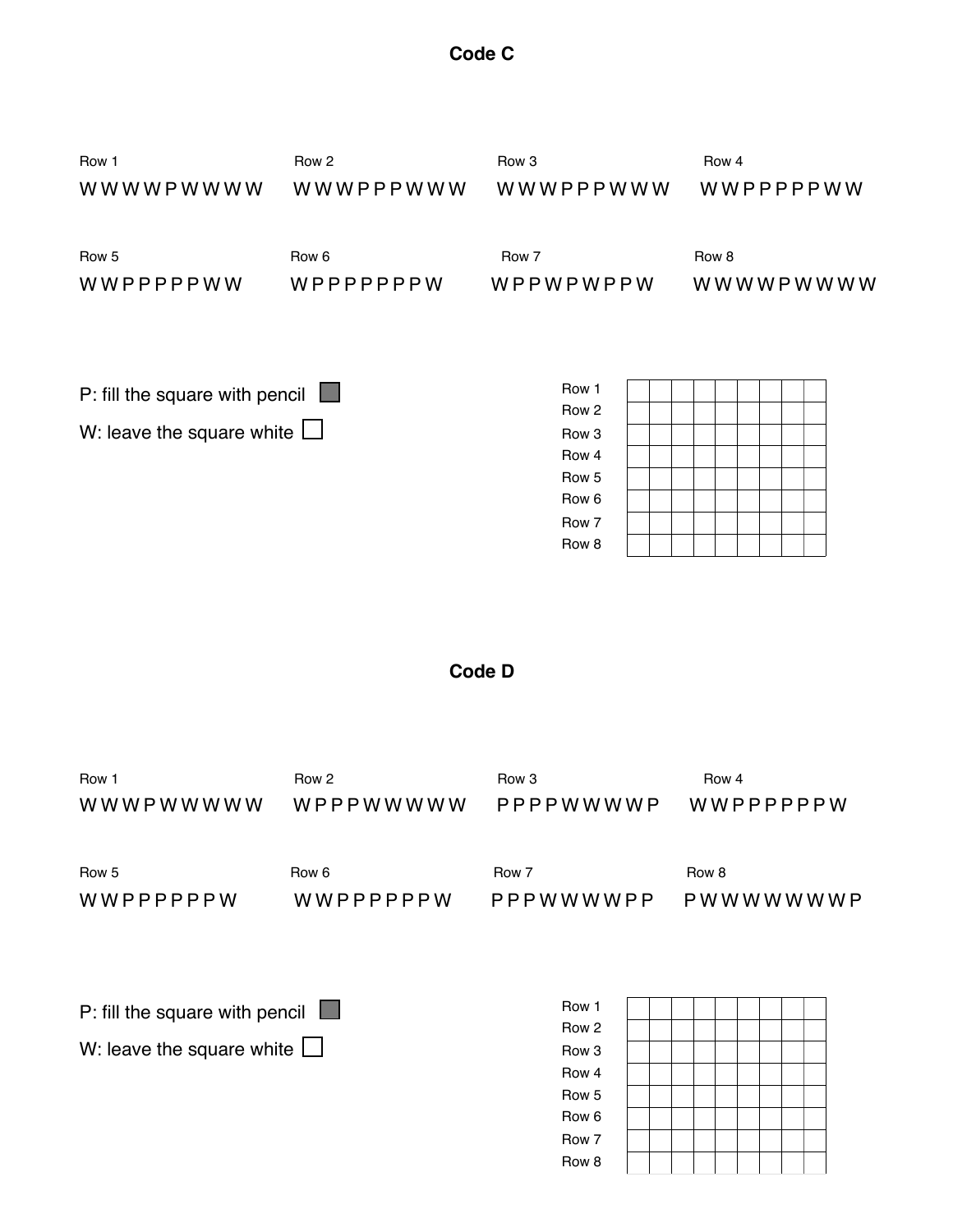| Row 5<br>WWPPPPPPW                                                        | Row <sub>6</sub> | Row 7                                                                                                            | Row <sub>8</sub><br>WWPPPPPPW PPPWWWWPP PWWWWWWW |
|---------------------------------------------------------------------------|------------------|------------------------------------------------------------------------------------------------------------------|--------------------------------------------------|
| P: fill the square with pencil $\Box$<br>W: leave the square white $\Box$ |                  | Row 1<br>Row <sub>2</sub><br>Row 3<br>Row <sub>4</sub><br>Row <sub>5</sub><br>Row <sub>6</sub><br>Row 7<br>Row 8 |                                                  |

## **Code D**

WWWPWWWWW WPPPWWWWW PPPPWWWWP WWPPPPPPW

Row 1! ! ! Row 2! ! Row 3! ! ! Row 4

| P: fill the square with pencil $\Box$ | Row 1 |  |  |  |  |
|---------------------------------------|-------|--|--|--|--|
| W: leave the square white $\Box$      | Row 2 |  |  |  |  |
|                                       | Row 3 |  |  |  |  |
|                                       | Row 4 |  |  |  |  |
|                                       | Row 5 |  |  |  |  |
|                                       | Row 6 |  |  |  |  |
|                                       | Row 7 |  |  |  |  |
|                                       | Row 8 |  |  |  |  |

WWWWPWWWW WWWPPPWWW WWWPPPWWW WWPPPPPWW

WWPPPPPWW WPPPPPPPW WPPWPWPPW WWWWPWWWW

Row 1! ! ! Row 2! ! Row 3! ! ! Row 4

Row 5! ! ! Row 6! ! Row 7! ! Row 8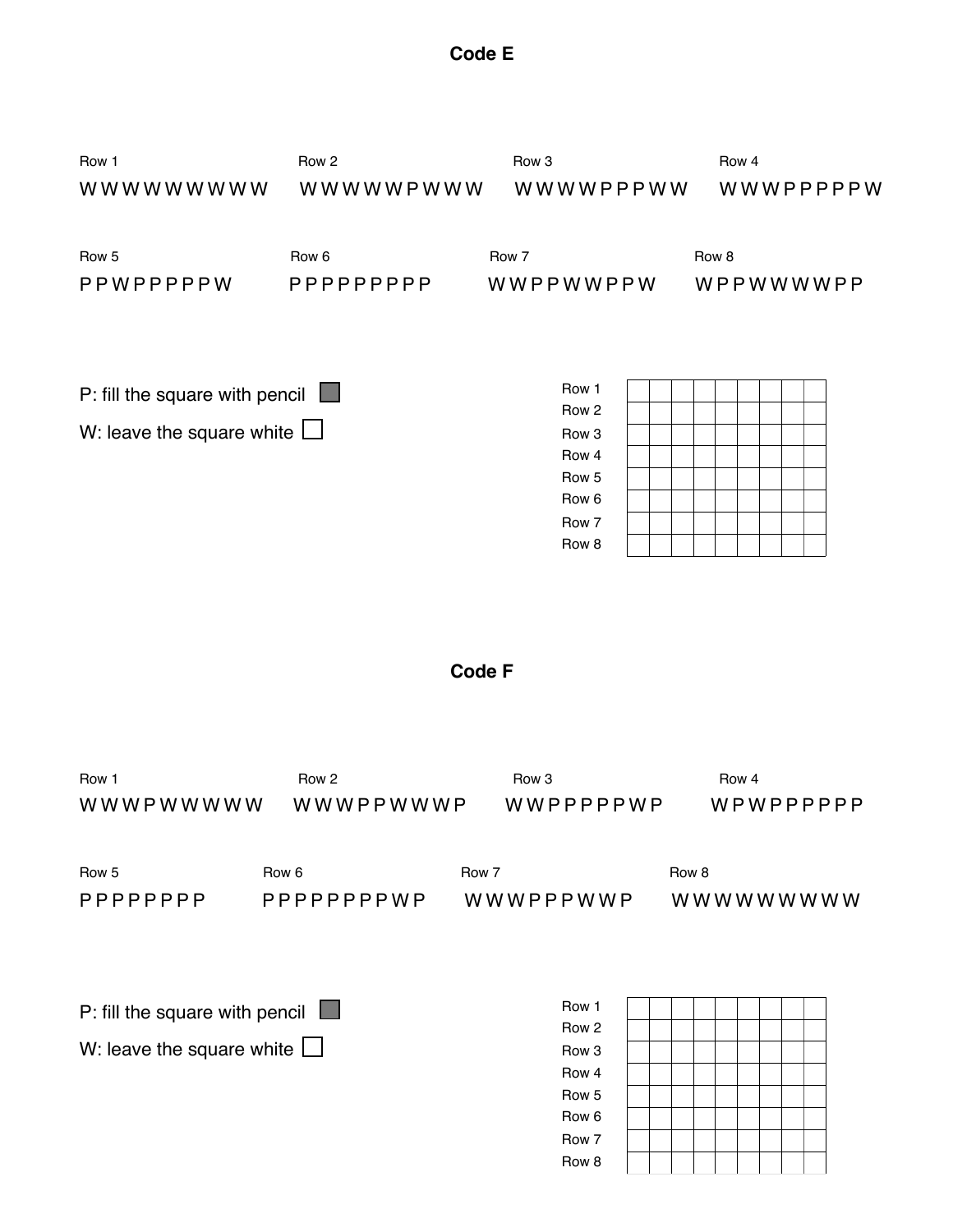| Row 5<br>PPPPPPPPP                    | Row 6<br>PPPPPPPPWWP | Row 7<br>WWWPPPWWP        | Row 8 |  | wwwwwwww |  |
|---------------------------------------|----------------------|---------------------------|-------|--|----------|--|
| P: fill the square with pencil $\Box$ |                      | Row 1<br>Row <sub>2</sub> |       |  |          |  |
| W: leave the square white $\Box$      |                      | Row <sub>3</sub>          |       |  |          |  |
|                                       |                      | Row 4                     |       |  |          |  |
|                                       |                      | Row <sub>5</sub>          |       |  |          |  |
|                                       |                      | Row 6                     |       |  |          |  |
|                                       |                      | Row 7                     |       |  |          |  |
|                                       |                      | Row 8                     |       |  |          |  |

## **Code F**

WWWPWWWWW WWWPPWWWP WWPPPPPWP WPWPPPPPP

Row 1! ! ! Row 2! ! Row 3! ! ! Row 4

| Row 5                                                                     | Row <sub>6</sub> | Row 7                                                                | Row 8 |           |  |
|---------------------------------------------------------------------------|------------------|----------------------------------------------------------------------|-------|-----------|--|
| PPWPPPPPW                                                                 | PPPPPPPPPP       | WWPPWWPPW                                                            |       | WPPWWWWPP |  |
| P: fill the square with pencil $\Box$<br>W: leave the square white $\Box$ |                  | Row 1<br>Row 2<br>Row 3<br>Row 4<br>Row 5<br>Row 6<br>Row 7<br>Row 8 |       |           |  |

| Row 1     | Row 2      | Row 3     | Row 4     |
|-----------|------------|-----------|-----------|
| wwwwwwwww | WWWWWPWWW  | WWWWPPPWW | WWWPPPPPW |
| Row 5     | Row 6      | Row 7     | Row 8     |
| PPWPPPPPW | PPPPPPPPPP | WWPPWWPPW | WPPWWWWPP |